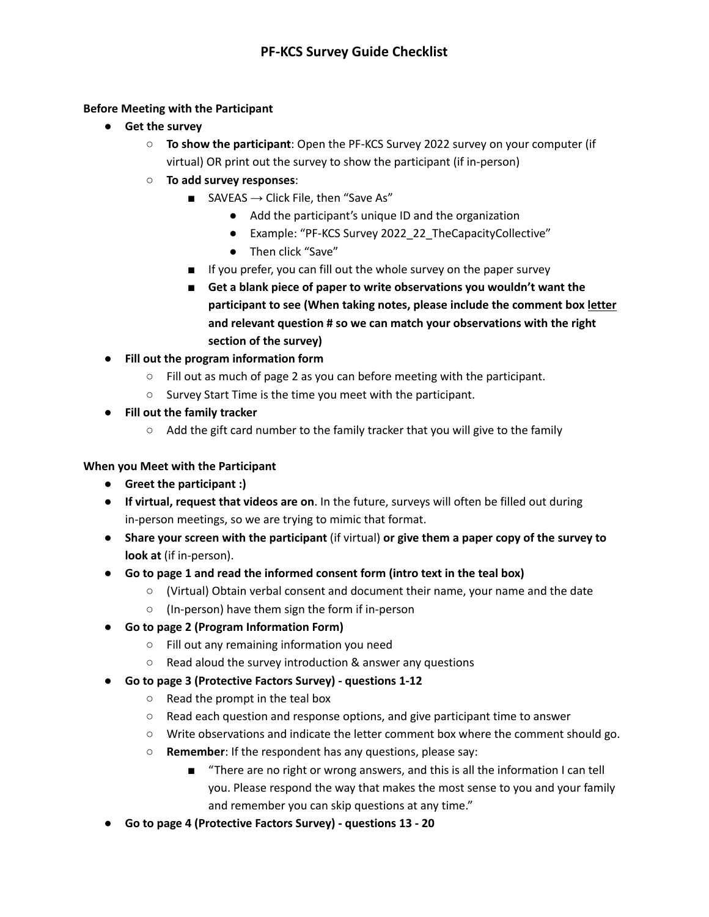## **Before Meeting with the Participant**

- **● Get the survey**
	- **To show the participant**: Open the PF-KCS Survey 2022 survey on your computer (if virtual) OR print out the survey to show the participant (if in-person)
	- **To add survey responses**:
		- SAVEAS  $\rightarrow$  Click File, then "Save As"
			- Add the participant's unique ID and the organization
			- Example: "PF-KCS Survey 2022\_22\_TheCapacityCollective"
			- Then click "Save"
		- If you prefer, you can fill out the whole survey on the paper survey
		- **■ Get a blank piece of paper to write observations you wouldn't want the participant to see (When taking notes, please include the comment box letter and relevant question # so we can match your observations with the right section of the survey)**
- **● Fill out the program information form**
	- Fill out as much of page 2 as you can before meeting with the participant.
	- Survey Start Time is the time you meet with the participant.
- **● Fill out the family tracker**
	- $\circ$  Add the gift card number to the family tracker that you will give to the family

## **When you Meet with the Participant**

- **● Greet the participant :)**
- **● If virtual, request that videos are on**. In the future, surveys will often be filled out during in-person meetings, so we are trying to mimic that format.
- **● Share your screen with the participant** (if virtual) **or give them a paper copy of the survey to look at** (if in-person).
- **● Go to page 1 and read the informed consent form (intro text in the teal box)**
	- (Virtual) Obtain verbal consent and document their name, your name and the date
	- (In-person) have them sign the form if in-person
- **● Go to page 2 (Program Information Form)**
	- Fill out any remaining information you need
	- Read aloud the survey introduction & answer any questions
- **● Go to page 3 (Protective Factors Survey) - questions 1-12**
	- $\circ$  Read the prompt in the teal box
	- Read each question and response options, and give participant time to answer
	- Write observations and indicate the letter comment box where the comment should go.
	- **○ Remember**: If the respondent has any questions, please say:
		- "There are no right or wrong answers, and this is all the information I can tell you. Please respond the way that makes the most sense to you and your family and remember you can skip questions at any time."
- **● Go to page 4 (Protective Factors Survey) - questions 13 - 20**